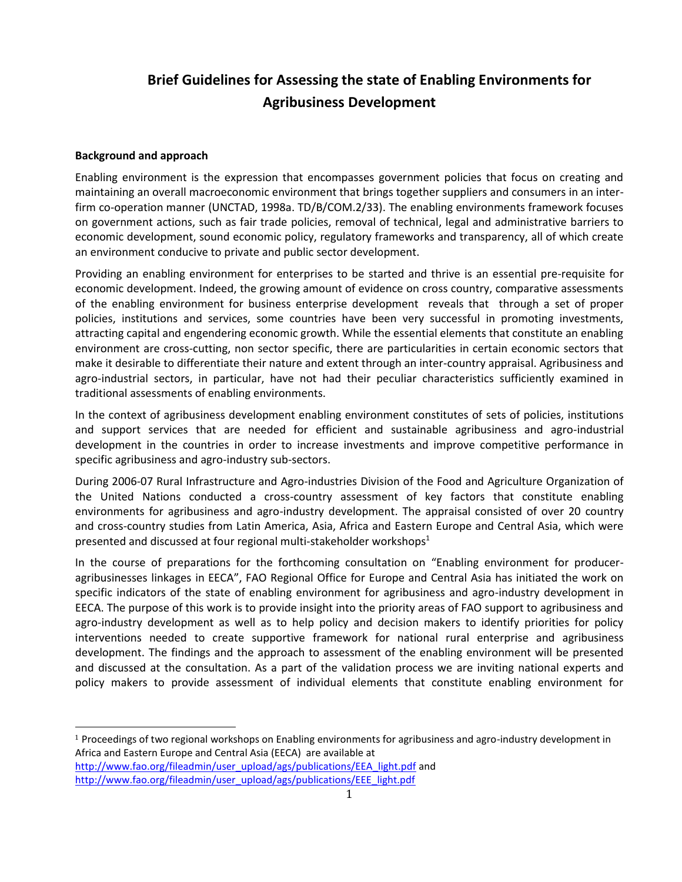# **Brief Guidelines for Assessing the state of Enabling Environments for Agribusiness Development**

#### **Background and approach**

 $\overline{\phantom{0}}$ 

Enabling environment is the expression that encompasses government policies that focus on creating and maintaining an overall macroeconomic environment that brings together suppliers and consumers in an interfirm co-operation manner (UNCTAD, 1998a. TD/B/COM.2/33). The enabling environments framework focuses on government actions, such as fair trade policies, removal of technical, legal and administrative barriers to economic development, sound economic policy, regulatory frameworks and transparency, all of which create an environment conducive to private and public sector development.

Providing an enabling environment for enterprises to be started and thrive is an essential pre-requisite for economic development. Indeed, the growing amount of evidence on cross country, comparative assessments of the enabling environment for business enterprise development reveals that through a set of proper policies, institutions and services, some countries have been very successful in promoting investments, attracting capital and engendering economic growth. While the essential elements that constitute an enabling environment are cross-cutting, non sector specific, there are particularities in certain economic sectors that make it desirable to differentiate their nature and extent through an inter-country appraisal. Agribusiness and agro-industrial sectors, in particular, have not had their peculiar characteristics sufficiently examined in traditional assessments of enabling environments.

In the context of agribusiness development enabling environment constitutes of sets of policies, institutions and support services that are needed for efficient and sustainable agribusiness and agro-industrial development in the countries in order to increase investments and improve competitive performance in specific agribusiness and agro-industry sub-sectors.

During 2006-07 Rural Infrastructure and Agro-industries Division of the Food and Agriculture Organization of the United Nations conducted a cross-country assessment of key factors that constitute enabling environments for agribusiness and agro-industry development. The appraisal consisted of over 20 country and cross-country studies from Latin America, Asia, Africa and Eastern Europe and Central Asia, which were presented and discussed at four regional multi-stakeholder workshops $<sup>1</sup>$ </sup>

In the course of preparations for the forthcoming consultation on "Enabling environment for produceragribusinesses linkages in EECA", FAO Regional Office for Europe and Central Asia has initiated the work on specific indicators of the state of enabling environment for agribusiness and agro-industry development in EECA. The purpose of this work is to provide insight into the priority areas of FAO support to agribusiness and agro-industry development as well as to help policy and decision makers to identify priorities for policy interventions needed to create supportive framework for national rural enterprise and agribusiness development. The findings and the approach to assessment of the enabling environment will be presented and discussed at the consultation. As a part of the validation process we are inviting national experts and policy makers to provide assessment of individual elements that constitute enabling environment for

 $1$  Proceedings of two regional workshops on Enabling environments for agribusiness and agro-industry development in Africa and Eastern Europe and Central Asia (EECA) are available at [http://www.fao.org/fileadmin/user\\_upload/ags/publications/EEA\\_light.pdf](http://www.fao.org/fileadmin/user_upload/ags/publications/EEA_light.pdf) and [http://www.fao.org/fileadmin/user\\_upload/ags/publications/EEE\\_light.pdf](http://www.fao.org/fileadmin/user_upload/ags/publications/EEE_light.pdf)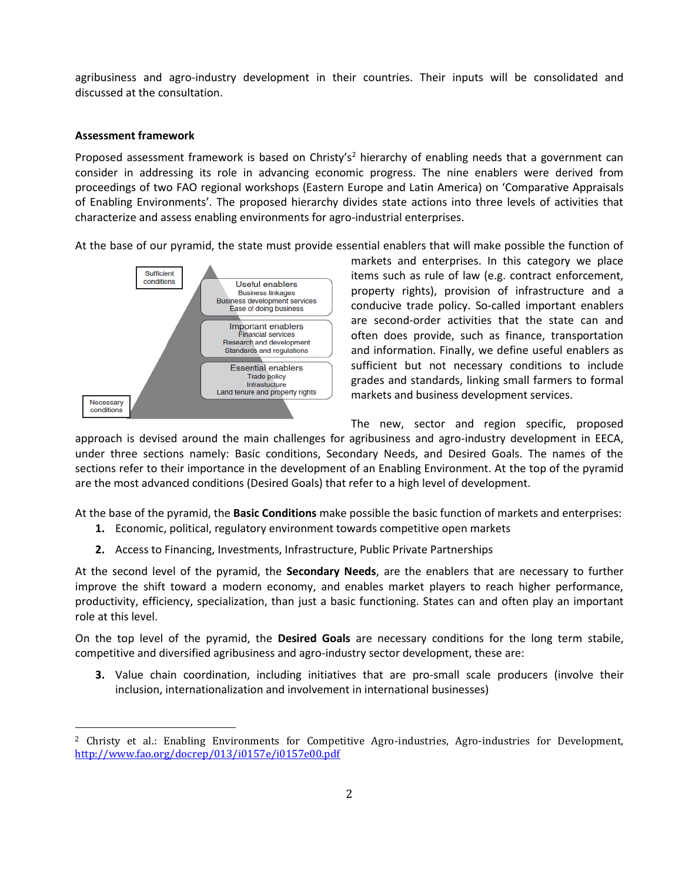agribusiness and agro-industry development in their countries. Their inputs will be consolidated and discussed at the consultation.

## **Assessment framework**

l

Proposed assessment framework is based on Christy's<sup>2</sup> hierarchy of enabling needs that a government can consider in addressing its role in advancing economic progress. The nine enablers were derived from proceedings of two FAO regional workshops (Eastern Europe and Latin America) on 'Comparative Appraisals of Enabling Environments'. The proposed hierarchy divides state actions into three levels of activities that characterize and assess enabling environments for agro-industrial enterprises.

At the base of our pyramid, the state must provide essential enablers that will make possible the function of



markets and enterprises. In this category we place items such as rule of law (e.g. contract enforcement, property rights), provision of infrastructure and a conducive trade policy. So-called important enablers are second-order activities that the state can and often does provide, such as finance, transportation and information. Finally, we define useful enablers as sufficient but not necessary conditions to include grades and standards, linking small farmers to formal markets and business development services.

The new, sector and region specific, proposed

approach is devised around the main challenges for agribusiness and agro-industry development in EECA, under three sections namely: Basic conditions, Secondary Needs, and Desired Goals. The names of the sections refer to their importance in the development of an Enabling Environment. At the top of the pyramid are the most advanced conditions (Desired Goals) that refer to a high level of development.

At the base of the pyramid, the **Basic Conditions** make possible the basic function of markets and enterprises:

- **1.** Economic, political, regulatory environment towards competitive open markets
- **2.** Access to Financing, Investments, Infrastructure, Public Private Partnerships

At the second level of the pyramid, the **Secondary Needs**, are the enablers that are necessary to further improve the shift toward a modern economy, and enables market players to reach higher performance, productivity, efficiency, specialization, than just a basic functioning. States can and often play an important role at this level.

On the top level of the pyramid, the **Desired Goals** are necessary conditions for the long term stabile, competitive and diversified agribusiness and agro-industry sector development, these are:

**3.** Value chain coordination, including initiatives that are pro-small scale producers (involve their inclusion, internationalization and involvement in international businesses)

 $2$  Christy et al.: Enabling Environments for Competitive Agro-industries, Agro-industries for Development, <http://www.fao.org/docrep/013/i0157e/i0157e00.pdf>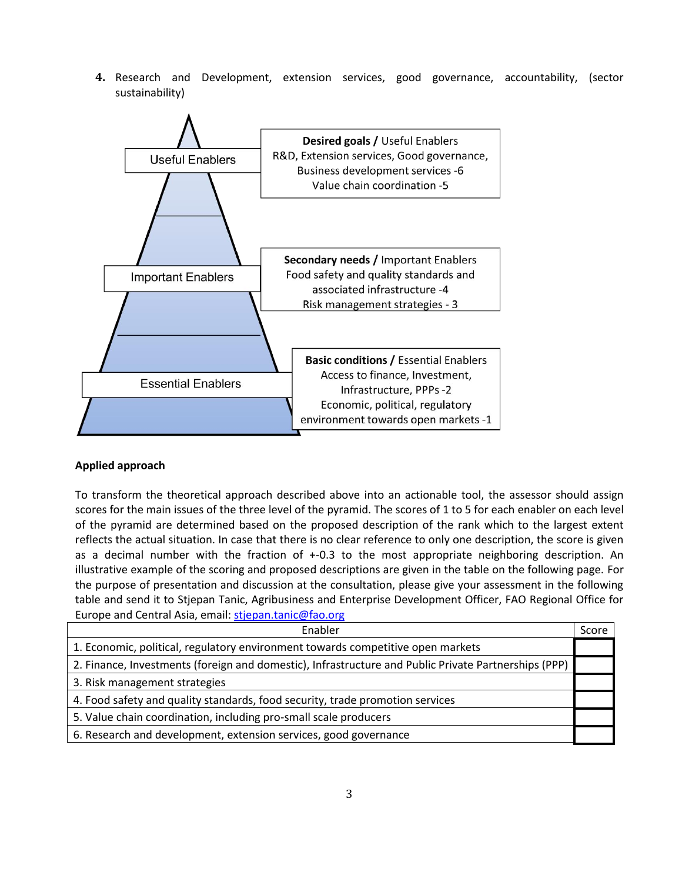**4.** Research and Development, extension services, good governance, accountability, (sector sustainability)



### **Applied approach**

To transform the theoretical approach described above into an actionable tool, the assessor should assign scores for the main issues of the three level of the pyramid. The scores of 1 to 5 for each enabler on each level of the pyramid are determined based on the proposed description of the rank which to the largest extent reflects the actual situation. In case that there is no clear reference to only one description, the score is given as a decimal number with the fraction of +-0.3 to the most appropriate neighboring description. An illustrative example of the scoring and proposed descriptions are given in the table on the following page. For the purpose of presentation and discussion at the consultation, please give your assessment in the following table and send it to Stjepan Tanic, Agribusiness and Enterprise Development Officer, FAO Regional Office for Europe and Central Asia, email: [stjepan.tanic@fao.org](mailto:stjepan.tanic@fao.org)

| Enabler                                                                                              | Score |
|------------------------------------------------------------------------------------------------------|-------|
| 1. Economic, political, regulatory environment towards competitive open markets                      |       |
| 2. Finance, Investments (foreign and domestic), Infrastructure and Public Private Partnerships (PPP) |       |
| 3. Risk management strategies                                                                        |       |
| 4. Food safety and quality standards, food security, trade promotion services                        |       |
| 5. Value chain coordination, including pro-small scale producers                                     |       |
| 6. Research and development, extension services, good governance                                     |       |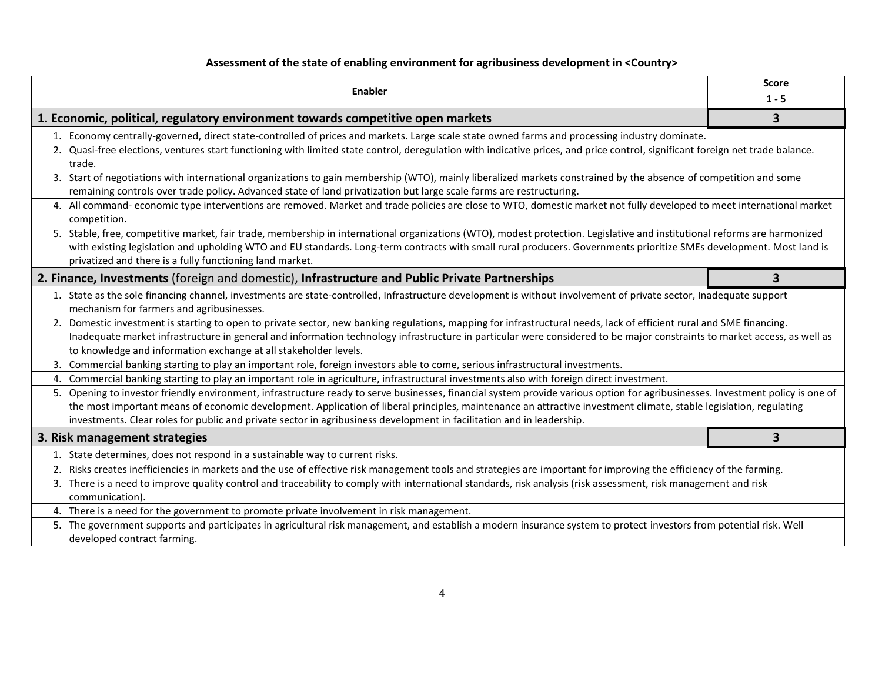# **Assessment of the state of enabling environment for agribusiness development in <Country>**

|                                                                                                | <b>Enabler</b>                                                                                                                                                                                                                                                                                                                                                                                                                                                               | <b>Score</b><br>$1 - 5$ |  |
|------------------------------------------------------------------------------------------------|------------------------------------------------------------------------------------------------------------------------------------------------------------------------------------------------------------------------------------------------------------------------------------------------------------------------------------------------------------------------------------------------------------------------------------------------------------------------------|-------------------------|--|
| 1. Economic, political, regulatory environment towards competitive open markets                |                                                                                                                                                                                                                                                                                                                                                                                                                                                                              | $\overline{\mathbf{3}}$ |  |
|                                                                                                | 1. Economy centrally-governed, direct state-controlled of prices and markets. Large scale state owned farms and processing industry dominate.                                                                                                                                                                                                                                                                                                                                |                         |  |
|                                                                                                | 2. Quasi-free elections, ventures start functioning with limited state control, deregulation with indicative prices, and price control, significant foreign net trade balance.<br>trade.                                                                                                                                                                                                                                                                                     |                         |  |
|                                                                                                | 3. Start of negotiations with international organizations to gain membership (WTO), mainly liberalized markets constrained by the absence of competition and some<br>remaining controls over trade policy. Advanced state of land privatization but large scale farms are restructuring.                                                                                                                                                                                     |                         |  |
|                                                                                                | 4. All command- economic type interventions are removed. Market and trade policies are close to WTO, domestic market not fully developed to meet international market<br>competition.                                                                                                                                                                                                                                                                                        |                         |  |
|                                                                                                | 5. Stable, free, competitive market, fair trade, membership in international organizations (WTO), modest protection. Legislative and institutional reforms are harmonized<br>with existing legislation and upholding WTO and EU standards. Long-term contracts with small rural producers. Governments prioritize SMEs development. Most land is<br>privatized and there is a fully functioning land market.                                                                 |                         |  |
| 2. Finance, Investments (foreign and domestic), Infrastructure and Public Private Partnerships |                                                                                                                                                                                                                                                                                                                                                                                                                                                                              | 3                       |  |
|                                                                                                | 1. State as the sole financing channel, investments are state-controlled, Infrastructure development is without involvement of private sector, Inadequate support<br>mechanism for farmers and agribusinesses.                                                                                                                                                                                                                                                               |                         |  |
|                                                                                                | 2. Domestic investment is starting to open to private sector, new banking regulations, mapping for infrastructural needs, lack of efficient rural and SME financing.<br>Inadequate market infrastructure in general and information technology infrastructure in particular were considered to be major constraints to market access, as well as<br>to knowledge and information exchange at all stakeholder levels.                                                         |                         |  |
|                                                                                                | 3. Commercial banking starting to play an important role, foreign investors able to come, serious infrastructural investments.                                                                                                                                                                                                                                                                                                                                               |                         |  |
|                                                                                                | 4. Commercial banking starting to play an important role in agriculture, infrastructural investments also with foreign direct investment.                                                                                                                                                                                                                                                                                                                                    |                         |  |
|                                                                                                | 5. Opening to investor friendly environment, infrastructure ready to serve businesses, financial system provide various option for agribusinesses. Investment policy is one of<br>the most important means of economic development. Application of liberal principles, maintenance an attractive investment climate, stable legislation, regulating<br>investments. Clear roles for public and private sector in agribusiness development in facilitation and in leadership. |                         |  |
|                                                                                                | 3. Risk management strategies                                                                                                                                                                                                                                                                                                                                                                                                                                                | 3                       |  |
|                                                                                                | 1. State determines, does not respond in a sustainable way to current risks.                                                                                                                                                                                                                                                                                                                                                                                                 |                         |  |
|                                                                                                | 2. Risks creates inefficiencies in markets and the use of effective risk management tools and strategies are important for improving the efficiency of the farming.                                                                                                                                                                                                                                                                                                          |                         |  |
|                                                                                                | 3. There is a need to improve quality control and traceability to comply with international standards, risk analysis (risk assessment, risk management and risk<br>communication).                                                                                                                                                                                                                                                                                           |                         |  |
|                                                                                                | 4. There is a need for the government to promote private involvement in risk management.                                                                                                                                                                                                                                                                                                                                                                                     |                         |  |
|                                                                                                | 5. The government supports and participates in agricultural risk management, and establish a modern insurance system to protect investors from potential risk. Well<br>developed contract farming.                                                                                                                                                                                                                                                                           |                         |  |